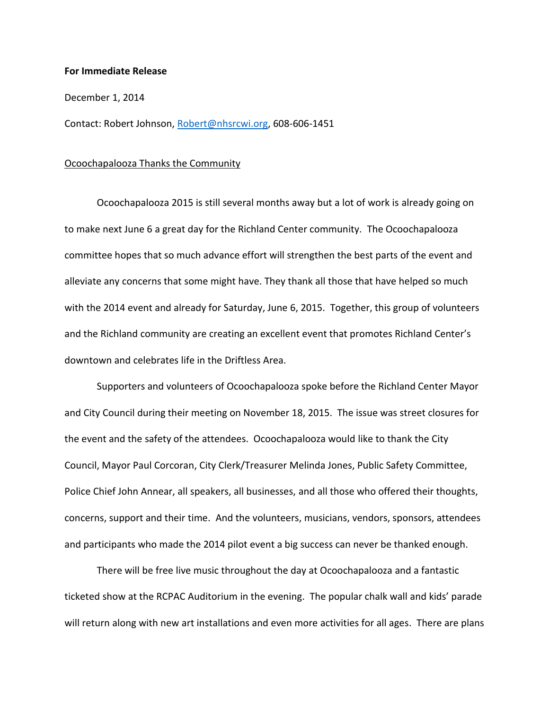## **For Immediate Release**

## December 1, 2014

Contact: Robert Johnson, [Robert@nhsrcwi.org,](mailto:Robert@nhsrcwi.org) 608-606-1451

## Ocoochapalooza Thanks the Community

Ocoochapalooza 2015 is still several months away but a lot of work is already going on to make next June 6 a great day for the Richland Center community. The Ocoochapalooza committee hopes that so much advance effort will strengthen the best parts of the event and alleviate any concerns that some might have. They thank all those that have helped so much with the 2014 event and already for Saturday, June 6, 2015. Together, this group of volunteers and the Richland community are creating an excellent event that promotes Richland Center's downtown and celebrates life in the Driftless Area.

Supporters and volunteers of Ocoochapalooza spoke before the Richland Center Mayor and City Council during their meeting on November 18, 2015. The issue was street closures for the event and the safety of the attendees. Ocoochapalooza would like to thank the City Council, Mayor Paul Corcoran, City Clerk/Treasurer Melinda Jones, Public Safety Committee, Police Chief John Annear, all speakers, all businesses, and all those who offered their thoughts, concerns, support and their time. And the volunteers, musicians, vendors, sponsors, attendees and participants who made the 2014 pilot event a big success can never be thanked enough.

There will be free live music throughout the day at Ocoochapalooza and a fantastic ticketed show at the RCPAC Auditorium in the evening. The popular chalk wall and kids' parade will return along with new art installations and even more activities for all ages. There are plans